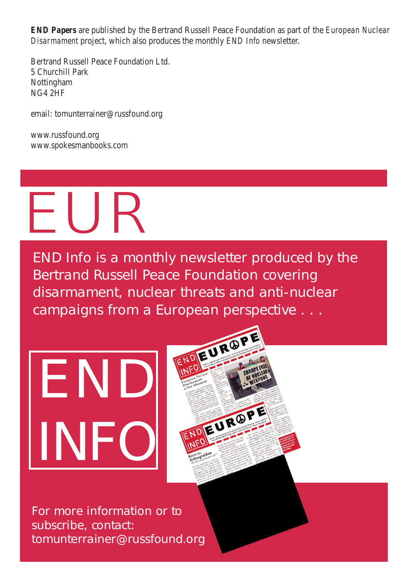*END-Papers* are published by the Bertrand Russell Peace Foundation as part of the *European Nuclear Disarmament* project, which also produces the monthly *END Info* newsletter.

Bertrand Russell Peace Foundation Ltd. 5 Churchill Park Nottingham NG4 2HF

email: tomunterrainer@russfound.org

www.russfound.org www.spokesmanbooks.com

## $E \cup R$

*END Info* is a monthly newsletter produced by the Bertrand Russell Peace Foundation covering disarmament, nuclear threats and anti-nuclear campaigns from a European perspective . . .

# EN INFO



For more information or to subscribe, contact: tomunterrainer@russfound.org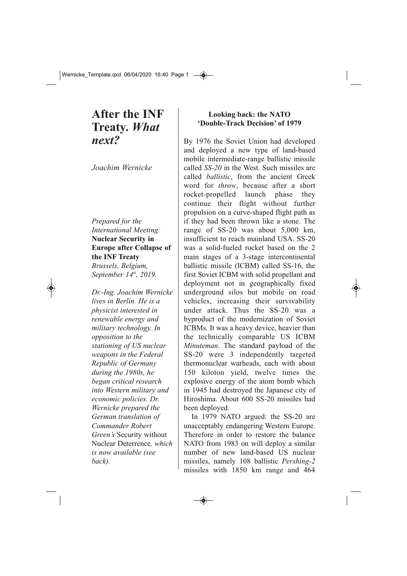### **After the INF Treaty.** *What next?*

*Joachim Wernicke*

#### *Prepared for the International Meeting:* **Nuclear Security in Europe after Collapse of the INF Treaty**

*Brussels, Belgium, September 14th, 2019.*

*Dr.Ing. Joachim Wernicke lives in Berlin. He is a physicist interested in renewable energy and military technology. In opposition to the stationing of US nuclear weapons in the Federal Republic of Germany during the 1980s, he began critical research into Western military and economic policies. Dr. Wernicke prepared the German translation of Commander Robert Green's* Security without Nuclear Deterrence*, which is now available (see back).*

#### **Looking back: the NATO 'DoubleTrack Decision' of 1979**

By 1976 the Soviet Union had developed and deployed a new type of land-based mobile intermediate-range ballistic missile called *SS20* in the West. Such missiles are called *ballistic*, from the ancient Greek word for *throw*, because after a short rocket-propelled launch phase they continue their flight without further propulsion on a curve-shaped flight path as if they had been thrown like a stone. The range of  $SS-20$  was about  $5,000$  km, insufficient to reach mainland USA, SS-20 was a solid-fueled rocket based on the 2 main stages of a 3-stage intercontinental ballistic missile (ICBM) called SS-16, the first Soviet ICBM with solid propellant and deployment not in geographically fixed underground silos but mobile on road vehicles, increasing their survivability under attack. Thus the  $SS-20$  was a byproduct of the modernization of Soviet ICBMs. It was a heavy device, heavier than the technically comparable US ICBM *Minuteman*. The standard payload of the SS20 were 3 independently targeted thermonuclear warheads, each with about 150 kiloton yield, twelve times the explosive energy of the atom bomb which in 1945 had destroyed the Japanese city of Hiroshima. About 600 SS-20 missiles had been deployed.

In 1979 NATO argued: the SS-20 are unacceptably endangering Western Europe. Therefore in order to restore the balance NATO from 1983 on will deploy a similar number of new land-based US nuclear missiles, namely 108 ballistic *Pershing-2* missiles with 1850 km range and 464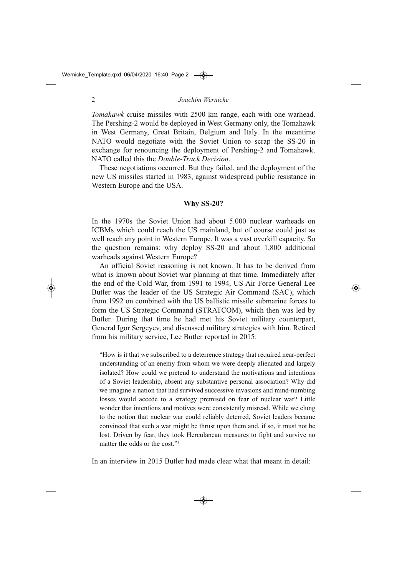*Tomahawk* cruise missiles with 2500 km range, each with one warhead. The Pershing-2 would be deployed in West Germany only, the Tomahawk in West Germany, Great Britain, Belgium and Italy. In the meantime NATO would negotiate with the Soviet Union to scrap the SS-20 in exchange for renouncing the deployment of Pershing-2 and Tomahawk. NATO called this the *DoubleTrack Decision*.

These negotiations occurred. But they failed, and the deployment of the new US missiles started in 1983, against widespread public resistance in Western Europe and the USA.

#### **Why SS-20?**

In the 1970s the Soviet Union had about 5.000 nuclear warheads on ICBMs which could reach the US mainland, but of course could just as well reach any point in Western Europe. It was a vast overkill capacity. So the question remains: why deploy  $SS-20$  and about  $1,800$  additional warheads against Western Europe?

An official Soviet reasoning is not known. It has to be derived from what is known about Soviet war planning at that time. Immediately after the end of the Cold War, from 1991 to 1994, US Air Force General Lee Butler was the leader of the US Strategic Air Command (SAC), which from 1992 on combined with the US ballistic missile submarine forces to form the US Strategic Command (STRATCOM), which then was led by Butler. During that time he had met his Soviet military counterpart, General Igor Sergeyev, and discussed military strategies with him. Retired from his military service, Lee Butler reported in 2015:

"How is it that we subscribed to a deterrence strategy that required near-perfect understanding of an enemy from whom we were deeply alienated and largely isolated? How could we pretend to understand the motivations and intentions of a Soviet leadership, absent any substantive personal association? Why did we imagine a nation that had survived successive invasions and mind-numbing losses would accede to a strategy premised on fear of nuclear war? Little wonder that intentions and motives were consistently misread. While we clung to the notion that nuclear war could reliably deterred, Soviet leaders became convinced that such a war might be thrust upon them and, if so, it must not be lost. Driven by fear, they took Herculanean measures to fight and survive no matter the odds or the cost."1

In an interview in 2015 Butler had made clear what that meant in detail: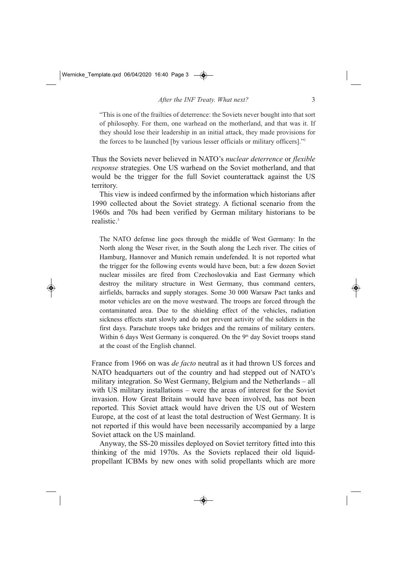"This is one of the frailties of deterrence: the Soviets never bought into that sort of philosophy. For them, one warhead on the motherland, and that was it. If they should lose their leadership in an initial attack, they made provisions for the forces to be launched [by various lesser officials or military officers]."2

Thus the Soviets never believed in NATO's *nuclear deterrence* or *flexible response* strategies. One US warhead on the Soviet motherland, and that would be the trigger for the full Soviet counterattack against the US territory.

This view is indeed confirmed by the information which historians after 1990 collected about the Soviet strategy. A fictional scenario from the 1960s and 70s had been verified by German military historians to be realistic.3

The NATO defense line goes through the middle of West Germany: In the North along the Weser river, in the South along the Lech river. The cities of Hamburg, Hannover and Munich remain undefended. It is not reported what the trigger for the following events would have been, but: a few dozen Soviet nuclear missiles are fired from Czechoslovakia and East Germany which destroy the military structure in West Germany, thus command centers, airfields, barracks and supply storages. Some 30 000 Warsaw Pact tanks and motor vehicles are on the move westward. The troops are forced through the contaminated area. Due to the shielding effect of the vehicles, radiation sickness effects start slowly and do not prevent activity of the soldiers in the first days. Parachute troops take bridges and the remains of military centers. Within 6 days West Germany is conquered. On the  $9<sup>th</sup>$  day Soviet troops stand at the coast of the English channel.

France from 1966 on was *de facto* neutral as it had thrown US forces and NATO headquarters out of the country and had stepped out of NATO's military integration. So West Germany, Belgium and the Netherlands – all with US military installations – were the areas of interest for the Soviet invasion. How Great Britain would have been involved, has not been reported. This Soviet attack would have driven the US out of Western Europe, at the cost of at least the total destruction of West Germany. It is not reported if this would have been necessarily accompanied by a large Soviet attack on the US mainland.

Anyway, the SS-20 missiles deployed on Soviet territory fitted into this thinking of the mid 1970s. As the Soviets replaced their old liquidpropellant ICBMs by new ones with solid propellants which are more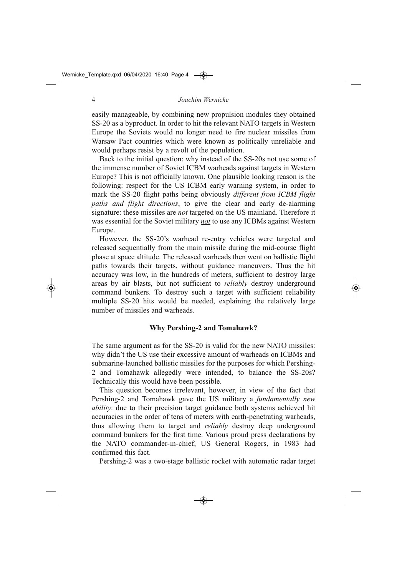easily manageable, by combining new propulsion modules they obtained SS-20 as a byproduct. In order to hit the relevant NATO targets in Western Europe the Soviets would no longer need to fire nuclear missiles from Warsaw Pact countries which were known as politically unreliable and would perhaps resist by a revolt of the population.

Back to the initial question: why instead of the SS-20s not use some of the immense number of Soviet ICBM warheads against targets in Western Europe? This is not officially known. One plausible looking reason is the following: respect for the US ICBM early warning system, in order to mark the SS-20 flight paths being obviously *different from ICBM flight paths and flight directions*, to give the clear and early de-alarming signature: these missiles are *not* targeted on the US mainland. Therefore it was essential for the Soviet military *not* to use any ICBMs against Western Europe.

However, the SS-20's warhead re-entry vehicles were targeted and released sequentially from the main missile during the mid-course flight phase at space altitude. The released warheads then went on ballistic flight paths towards their targets, without guidance maneuvers. Thus the hit accuracy was low, in the hundreds of meters, sufficient to destroy large areas by air blasts, but not sufficient to *reliably* destroy underground command bunkers. To destroy such a target with sufficient reliability multiple SS-20 hits would be needed, explaining the relatively large number of missiles and warheads.

#### **Why Pershing-2 and Tomahawk?**

The same argument as for the SS-20 is valid for the new NATO missiles: why didn't the US use their excessive amount of warheads on ICBMs and submarine-launched ballistic missiles for the purposes for which Pershing-2 and Tomahawk allegedly were intended, to balance the SS-20s? Technically this would have been possible.

This question becomes irrelevant, however, in view of the fact that Pershing-2 and Tomahawk gave the US military a *fundamentally new ability*: due to their precision target guidance both systems achieved hit accuracies in the order of tens of meters with earth-penetrating warheads, thus allowing them to target and *reliably* destroy deep underground command bunkers for the first time. Various proud press declarations by the NATO commander-in-chief, US General Rogers, in 1983 had confirmed this fact.

Pershing-2 was a two-stage ballistic rocket with automatic radar target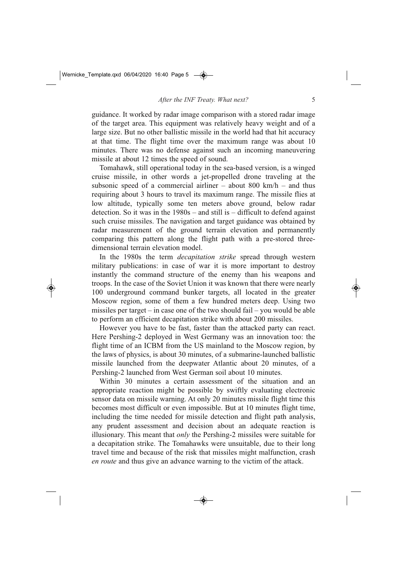guidance. It worked by radar image comparison with a stored radar image of the target area. This equipment was relatively heavy weight and of a large size. But no other ballistic missile in the world had that hit accuracy at that time. The flight time over the maximum range was about 10 minutes. There was no defense against such an incoming maneuvering missile at about 12 times the speed of sound.

Tomahawk, still operational today in the sea-based version, is a winged cruise missile, in other words a jet-propelled drone traveling at the subsonic speed of a commercial airliner – about  $800 \text{ km/h}$  – and thus requiring about 3 hours to travel its maximum range. The missile flies at low altitude, typically some ten meters above ground, below radar detection. So it was in the  $1980s$  – and still is – difficult to defend against such cruise missiles. The navigation and target guidance was obtained by radar measurement of the ground terrain elevation and permanently comparing this pattern along the flight path with a pre-stored threedimensional terrain elevation model.

In the 1980s the term *decapitation strike* spread through western military publications: in case of war it is more important to destroy instantly the command structure of the enemy than his weapons and troops. In the case of the Soviet Union it was known that there were nearly 100 underground command bunker targets, all located in the greater Moscow region, some of them a few hundred meters deep. Using two missiles per target – in case one of the two should fail – you would be able to perform an efficient decapitation strike with about 200 missiles.

However you have to be fast, faster than the attacked party can react. Here Pershing-2 deployed in West Germany was an innovation too: the flight time of an ICBM from the US mainland to the Moscow region, by the laws of physics, is about 30 minutes, of a submarine-launched ballistic missile launched from the deepwater Atlantic about 20 minutes, of a Pershing-2 launched from West German soil about 10 minutes.

Within 30 minutes a certain assessment of the situation and an appropriate reaction might be possible by swiftly evaluating electronic sensor data on missile warning. At only 20 minutes missile flight time this becomes most difficult or even impossible. But at 10 minutes flight time, including the time needed for missile detection and flight path analysis, any prudent assessment and decision about an adequate reaction is illusionary. This meant that *only* the Pershing-2 missiles were suitable for a decapitation strike. The Tomahawks were unsuitable, due to their long travel time and because of the risk that missiles might malfunction, crash *en route* and thus give an advance warning to the victim of the attack.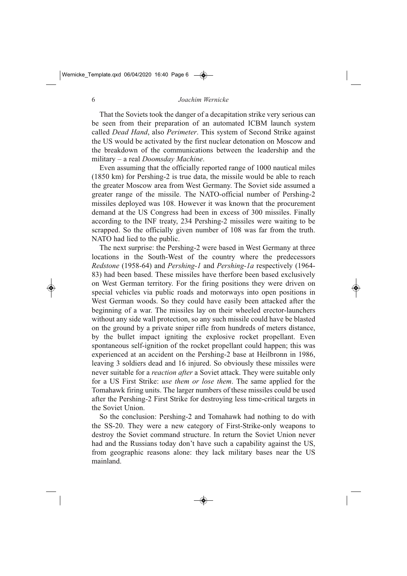That the Soviets took the danger of a decapitation strike very serious can be seen from their preparation of an automated ICBM launch system called *Dead Hand*, also *Perimeter*. This system of Second Strike against the US would be activated by the first nuclear detonation on Moscow and the breakdown of the communications between the leadership and the military – a real *Doomsday Machine*.

Even assuming that the officially reported range of 1000 nautical miles  $(1850 \text{ km})$  for Pershing-2 is true data, the missile would be able to reach the greater Moscow area from West Germany. The Soviet side assumed a greater range of the missile. The NATO-official number of Pershing-2 missiles deployed was 108. However it was known that the procurement demand at the US Congress had been in excess of 300 missiles. Finally according to the INF treaty, 234 Pershing-2 missiles were waiting to be scrapped. So the officially given number of 108 was far from the truth. NATO had lied to the public.

The next surprise: the Pershing-2 were based in West Germany at three locations in the South-West of the country where the predecessors *Redstone* (1958-64) and *Pershing-1* and *Pershing-1a* respectively (1964-83) had been based. These missiles have therfore been based exclusively on West German territory. For the firing positions they were driven on special vehicles via public roads and motorways into open positions in West German woods. So they could have easily been attacked after the beginning of a war. The missiles lay on their wheeled erector-launchers without any side wall protection, so any such missile could have be blasted on the ground by a private sniper rifle from hundreds of meters distance, by the bullet impact igniting the explosive rocket propellant. Even spontaneous self-ignition of the rocket propellant could happen; this was experienced at an accident on the Pershing-2 base at Heilbronn in 1986, leaving 3 soldiers dead and 16 injured. So obviously these missiles were never suitable for a *reaction after* a Soviet attack. They were suitable only for a US First Strike: *use them or lose them*. The same applied for the Tomahawk firing units. The larger numbers of these missiles could be used after the Pershing-2 First Strike for destroying less time-critical targets in the Soviet Union.

So the conclusion: Pershing-2 and Tomahawk had nothing to do with the SS-20. They were a new category of First-Strike-only weapons to destroy the Soviet command structure. In return the Soviet Union never had and the Russians today don't have such a capability against the US, from geographic reasons alone: they lack military bases near the US mainland.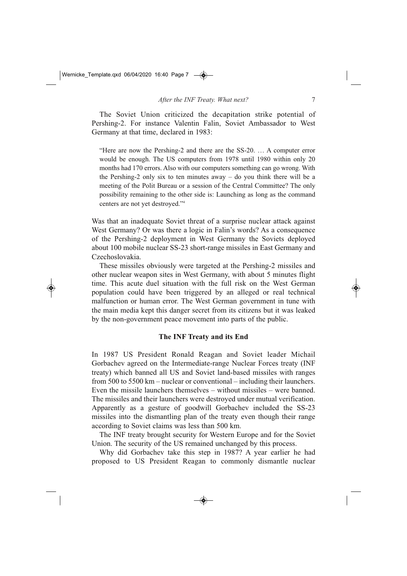The Soviet Union criticized the decapitation strike potential of Pershing-2. For instance Valentin Falin, Soviet Ambassador to West Germany at that time, declared in 1983:

"Here are now the Pershing-2 and there are the SS-20. ... A computer error would be enough. The US computers from 1978 until 1980 within only 20 months had 170 errors. Also with our computers something can go wrong. With the Pershing-2 only six to ten minutes away – do you think there will be a meeting of the Polit Bureau or a session of the Central Committee? The only possibility remaining to the other side is: Launching as long as the command centers are not yet destroyed."4

Was that an inadequate Soviet threat of a surprise nuclear attack against West Germany? Or was there a logic in Falin's words? As a consequence of the Pershing-2 deployment in West Germany the Soviets deployed about 100 mobile nuclear SS-23 short-range missiles in East Germany and Czechoslovakia.

These missiles obviously were targeted at the Pershing-2 missiles and other nuclear weapon sites in West Germany, with about 5 minutes flight time. This acute duel situation with the full risk on the West German population could have been triggered by an alleged or real technical malfunction or human error. The West German government in tune with the main media kept this danger secret from its citizens but it was leaked by the non-government peace movement into parts of the public.

#### **The INF Treaty and its End**

In 1987 US President Ronald Reagan and Soviet leader Michail Gorbachev agreed on the Intermediate-range Nuclear Forces treaty (INF treaty) which banned all US and Soviet land-based missiles with ranges from 500 to 5500 km – nuclear or conventional – including their launchers. Even the missile launchers themselves – without missiles – were banned. The missiles and their launchers were destroyed under mutual verification. Apparently as a gesture of goodwill Gorbachev included the SS-23 missiles into the dismantling plan of the treaty even though their range according to Soviet claims was less than 500 km.

The INF treaty brought security for Western Europe and for the Soviet Union. The security of the US remained unchanged by this process.

Why did Gorbachev take this step in 1987? A year earlier he had proposed to US President Reagan to commonly dismantle nuclear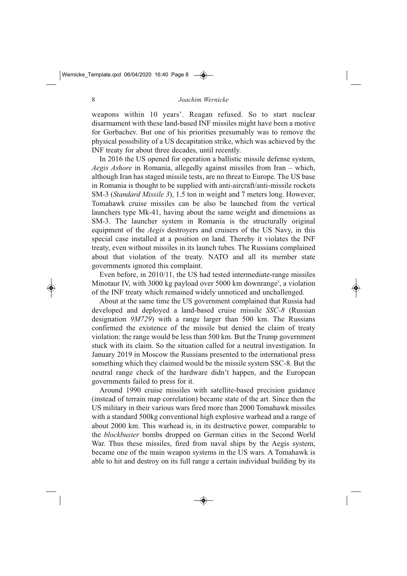weapons within 10 years'. Reagan refused. So to start nuclear disarmament with these land-based INF missiles might have been a motive for Gorbachev. But one of his priorities presumably was to remove the physical possibility of a US decapitation strike, which was achieved by the INF treaty for about three decades, until recently.

In 2016 the US opened for operation a ballistic missile defense system, *Aegis Ashore* in Romania, allegedly against missiles from Iran – which, although Iran has staged missile tests, are no threat to Europe. The US base in Romania is thought to be supplied with anti-aircraft/anti-missile rockets SM-3 (*Standard Missile 3*), 1.5 ton in weight and 7 meters long. However, Tomahawk cruise missiles can be also be launched from the vertical launchers type Mk-41, having about the same weight and dimensions as SM-3. The launcher system in Romania is the structurally original equipment of the *Aegis* destroyers and cruisers of the US Navy, in this special case installed at a position on land. Thereby it violates the INF treaty, even without missiles in its launch tubes. The Russians complained about that violation of the treaty. NATO and all its member state governments ignored this complaint.

Even before, in  $2010/11$ , the US had tested intermediate-range missiles Minotaur IV, with 3000 kg payload over 5000 km downrange<sup>5</sup>, a violation of the INF treaty which remained widely unnoticed and unchallenged.

About at the same time the US government complained that Russia had developed and deployed a land-based cruise missile *SSC-8* (Russian designation *9M729*) with a range larger than 500 km. The Russians confirmed the existence of the missile but denied the claim of treaty violation: the range would be less than 500 km. But the Trump government stuck with its claim. So the situation called for a neutral investigation. In January 2019 in Moscow the Russians presented to the international press something which they claimed would be the missile system SSC-8. But the neutral range check of the hardware didn't happen, and the European governments failed to press for it.

Around 1990 cruise missiles with satellite-based precision guidance (instead of terrain map correlation) became state of the art. Since then the US military in their various wars fired more than 2000 Tomahawk missiles with a standard 500kg conventional high explosive warhead and a range of about 2000 km. This warhead is, in its destructive power, comparable to the *blockbuster* bombs dropped on German cities in the Second World War. Thus these missiles, fired from naval ships by the Aegis system, became one of the main weapon systems in the US wars. A Tomahawk is able to hit and destroy on its full range a certain individual building by its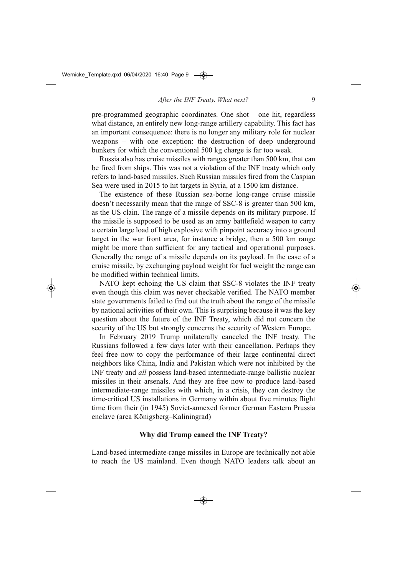pre-programmed geographic coordinates. One shot – one hit, regardless what distance, an entirely new long-range artillery capability. This fact has an important consequence: there is no longer any military role for nuclear weapons – with one exception: the destruction of deep underground bunkers for which the conventional 500 kg charge is far too weak.

Russia also has cruise missiles with ranges greater than 500 km, that can be fired from ships. This was not a violation of the INF treaty which only refers to land-based missiles. Such Russian missiles fired from the Caspian Sea were used in 2015 to hit targets in Syria, at a 1500 km distance.

The existence of these Russian sea-borne long-range cruise missile doesn't necessarily mean that the range of SSC-8 is greater than 500 km, as the US clain. The range of a missile depends on its military purpose. If the missile is supposed to be used as an army battlefield weapon to carry a certain large load of high explosive with pinpoint accuracy into a ground target in the war front area, for instance a bridge, then a 500 km range might be more than sufficient for any tactical and operational purposes. Generally the range of a missile depends on its payload. In the case of a cruise missile, by exchanging payload weight for fuel weight the range can be modified within technical limits.

NATO kept echoing the US claim that SSC-8 violates the INF treaty even though this claim was never checkable verified. The NATO member state governments failed to find out the truth about the range of the missile by national activities of their own. This is surprising because it was the key question about the future of the INF Treaty, which did not concern the security of the US but strongly concerns the security of Western Europe.

In February 2019 Trump unilaterally canceled the INF treaty. The Russians followed a few days later with their cancellation. Perhaps they feel free now to copy the performance of their large continental direct neighbors like China, India and Pakistan which were not inhibited by the INF treaty and *all* possess land-based intermediate-range ballistic nuclear missiles in their arsenals. And they are free now to produce land-based intermediate-range missiles with which, in a crisis, they can destroy the time-critical US installations in Germany within about five minutes flight time from their (in 1945) Soviet-annexed former German Eastern Prussia enclave (area Königsberg–Kaliningrad)

#### **Why did Trump cancel the INF Treaty?**

Land-based intermediate-range missiles in Europe are technically not able to reach the US mainland. Even though NATO leaders talk about an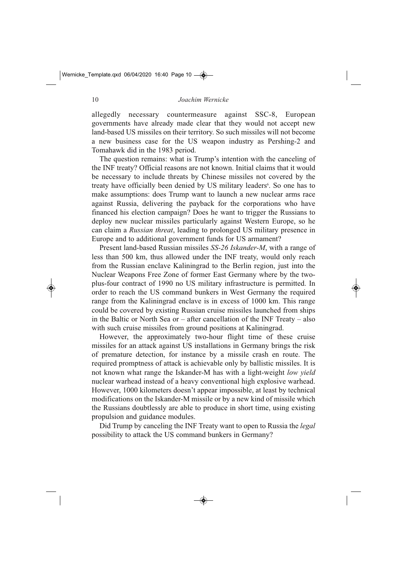allegedly necessary countermeasure against SSC-8, European governments have already made clear that they would not accept new land-based US missiles on their territory. So such missiles will not become a new business case for the US weapon industry as Pershing-2 and Tomahawk did in the 1983 period.

The question remains: what is Trump's intention with the canceling of the INF treaty? Official reasons are not known. Initial claims that it would be necessary to include threats by Chinese missiles not covered by the treaty have officially been denied by US military leaders<sup>6</sup>. So one has to make assumptions: does Trump want to launch a new nuclear arms race against Russia, delivering the payback for the corporations who have financed his election campaign? Does he want to trigger the Russians to deploy new nuclear missiles particularly against Western Europe, so he can claim a *Russian threat*, leading to prolonged US military presence in Europe and to additional government funds for US armament?

Present land-based Russian missiles *SS-26 Iskander-M*, with a range of less than 500 km, thus allowed under the INF treaty, would only reach from the Russian enclave Kaliningrad to the Berlin region, just into the Nuclear Weapons Free Zone of former East Germany where by the twoplus-four contract of 1990 no US military infrastructure is permitted. In order to reach the US command bunkers in West Germany the required range from the Kaliningrad enclave is in excess of 1000 km. This range could be covered by existing Russian cruise missiles launched from ships in the Baltic or North Sea or – after cancellation of the INF Treaty – also with such cruise missiles from ground positions at Kaliningrad.

However, the approximately two-hour flight time of these cruise missiles for an attack against US installations in Germany brings the risk of premature detection, for instance by a missile crash en route. The required promptness of attack is achievable only by ballistic missiles. It is not known what range the Iskander-M has with a light-weight *low yield* nuclear warhead instead of a heavy conventional high explosive warhead. However, 1000 kilometers doesn't appear impossible, at least by technical modifications on the Iskander-M missile or by a new kind of missile which the Russians doubtlessly are able to produce in short time, using existing propulsion and guidance modules.

Did Trump by canceling the INF Treaty want to open to Russia the *legal* possibility to attack the US command bunkers in Germany?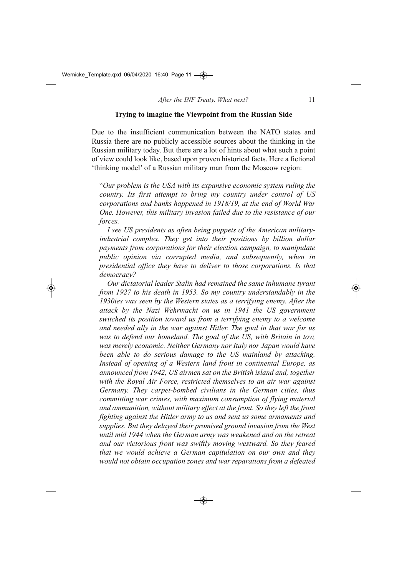#### **Trying to imagine the Viewpoint from the Russian Side**

Due to the insufficient communication between the NATO states and Russia there are no publicly accessible sources about the thinking in the Russian military today. But there are a lot of hints about what such a point of view could look like, based upon proven historical facts. Here a fictional 'thinking model' of a Russian military man from the Moscow region:

"*Our problem is the USA with its expansive economic system ruling the country. Its first attempt to bring my country under control of US corporations and banks happened in 1918/19, at the end of World War One. However, this military invasion failed due to the resistance of our forces.* 

*I see US presidents as often being puppets of the American militaryindustrial complex. They get into their positions by billion dollar payments from corporations for their election campaign, to manipulate public opinion via corrupted media, and subsequently, when in presidential office they have to deliver to those corporations. Is that democracy?*

*Our dictatorial leader Stalin had remained the same inhumane tyrant from 1927 to his death in 1953. So my country understandably in the 1930ies was seen by the Western states as a terrifying enemy. After the attack by the Nazi Wehrmacht on us in 1941 the US government switched its position toward us from a terrifying enemy to a welcome and needed ally in the war against Hitler. The goal in that war for us was to defend our homeland. The goal of the US, with Britain in tow, was merely economic. Neither Germany nor Italy nor Japan would have been able to do serious damage to the US mainland by attacking. Instead of opening of a Western land front in continental Europe, as announced from 1942, US airmen sat on the British island and, together with the Royal Air Force, restricted themselves to an air war against* Germany. They carpet-bombed civilians in the German cities, thus *committing war crimes, with maximum consumption of flying material and ammunition, without military effect at the front. So they left the front fighting against the Hitler army to us and sent us some armaments and supplies. But they delayed their promised ground invasion from the West until mid 1944 when the German army was weakened and on the retreat and our victorious front was swiftly moving westward. So they feared that we would achieve a German capitulation on our own and they would not obtain occupation zones and war reparations from a defeated*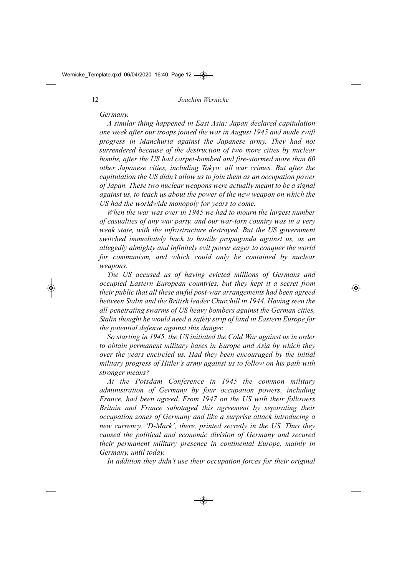*Germany.* 

*A similar thing happened in East Asia: Japan declared capitulation one week after our troops joined the war in August 1945 and made swift progress in Manchuria against the Japanese army. They had not surrendered because of the destruction of two more cities by nuclear bombs, after the US had carpet-bombed and fire-stormed more than 60 other Japanese cities, including Tokyo: all war crimes. But after the capitulation the US didn't allow us to join them as an occupation power of Japan. These two nuclear weapons were actually meant to be a signal against us, to teach us about the power of the new weapon on which the US had the worldwide monopoly for years to come.* 

*When the war was over in 1945 we had to mourn the largest number of casualties of any war party, and our wartorn country was in a very weak state, with the infrastructure destroyed. But the US government switched immediately back to hostile propaganda against us, as an allegedly almighty and infinitely evil power eager to conquer the world for communism, and which could only be contained by nuclear weapons.* 

*The US accused us of having evicted millions of Germans and occupied Eastern European countries, but they kept it a secret from their public that all these awful post-war arrangements had been agreed between Stalin and the British leader Churchill in 1944. Having seen the allpenetrating swarms of US heavy bombers against the German cities, Stalin thought he would need a safety strip of land in Eastern Europe for the potential defense against this danger.* 

*So starting in 1945, the US initiated the Cold War against us in order to obtain permanent military bases in Europe and Asia by which they over the years encircled us. Had they been encouraged by the initial military progress of Hitler's army against us to follow on his path with stronger means?*

*At the Potsdam Conference in 1945 the common military administration of Germany by four occupation powers, including France, had been agreed. From 1947 on the US with their followers Britain and France sabotaged this agreement by separating their occupation zones of Germany and like a surprise attack introducing a new currency, 'D-Mark', there, printed secretly in the US. Thus they caused the political and economic division of Germany and secured their permanent military presence in continental Europe, mainly in Germany, until today.* 

*In addition they didn't use their occupation forces for their original*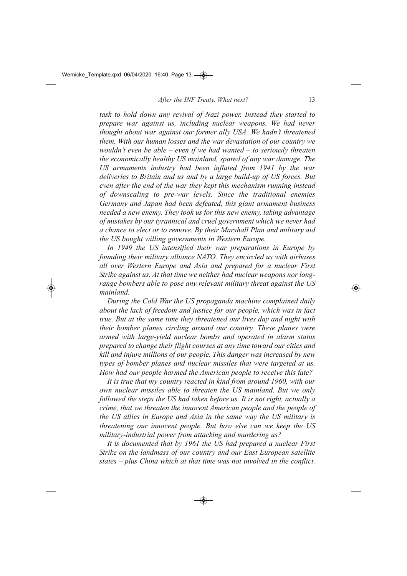*task to hold down any revival of Nazi power. Instead they started to prepare war against us, including nuclear weapons. We had never thought about war against our former ally USA. We hadn't threatened them. With our human losses and the war devastation of our country we wouldn't even be able – even if we had wanted – to seriously threaten the economically healthy US mainland, spared of any war damage. The US armaments industry had been inflated from 1941 by the war* deliveries to Britain and us and by a large build-up of US forces. But *even after the end of the war they kept this mechanism running instead of downscaling to pre-war levels. Since the traditional enemies Germany and Japan had been defeated, this giant armament business needed a new enemy. They took us for this new enemy, taking advantage of mistakes by our tyrannical and cruel government which we never had a chance to elect or to remove. By their Marshall Plan and military aid the US bought willing governments in Western Europe.*

*In 1949 the US intensified their war preparations in Europe by founding their military alliance NATO. They encircled us with airbases all over Western Europe and Asia and prepared for a nuclear First Strike against us. At that time we neither had nuclear weapons nor longrange bombers able to pose any relevant military threat against the US mainland.* 

*During the Cold War the US propaganda machine complained daily about the lack of freedom and justice for our people, which was in fact true. But at the same time they threatened our lives day and night with their bomber planes circling around our country. These planes were* armed with large-yield nuclear bombs and operated in alarm status *prepared to change their flight courses at any time toward our cities and kill and injure millions of our people. This danger was increased by new types of bomber planes and nuclear missiles that were targeted at us. How had our people harmed the American people to receive this fate?* 

*It is true that my country reacted in kind from around 1960, with our own nuclear missiles able to threaten the US mainland. But we only followed the steps the US had taken before us. It is not right, actually a crime, that we threaten the innocent American people and the people of the US allies in Europe and Asia in the same way the US military is threatening our innocent people. But how else can we keep the US* military-industrial power from attacking and murdering us?

*It is documented that by 1961 the US had prepared a nuclear First Strike on the landmass of our country and our East European satellite states – plus China which at that time was not involved in the conflict.*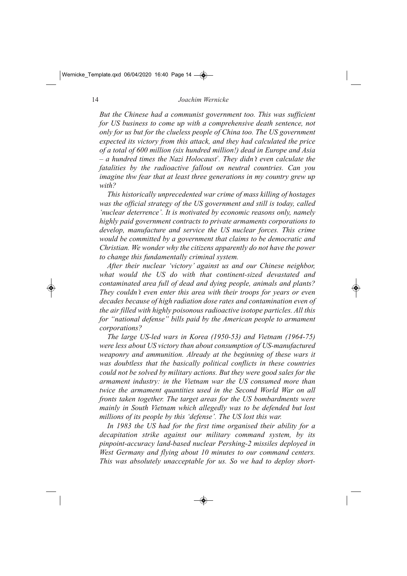*But the Chinese had a communist government too. This was sufficient for US business to come up with a comprehensive death sentence, not only for us but for the clueless people of China too. The US government expected its victory from this attack, and they had calculated the price of a total of 600 million (six hundred million!) dead in Europe and Asia – a hundred times the Nazi Holocaust7 . They didn't even calculate the fatalities by the radioactive fallout on neutral countries. Can you imagine thw fear that at least three generations in my country grew up with?*

*This historically unprecedented war crime of mass killing of hostages was the official strategy of the US government and still is today, called 'nuclear deterrence'. It is motivated by economic reasons only, namely highly paid government contracts to private armaments corporations to develop, manufacture and service the US nuclear forces. This crime would be committed by a government that claims to be democratic and Christian. We wonder why the citizens apparently do not have the power to change this fundamentally criminal system.* 

*After their nuclear 'victory' against us and our Chinese neighbor,* what would the US do with that continent-sized devastated and *contaminated area full of dead and dying people, animals and plants? They couldn't even enter this area with their troops for years or even decades because of high radiation dose rates and contamination even of the air filled with highly poisonous radioactive isotope particles. All this for "national defense" bills paid by the American people to armament corporations?*

*The large US-led wars in Korea (1950-53) and Vietnam (1964-75) were less about US victory than about consumption of US-manufactured weaponry and ammunition. Already at the beginning of these wars it was doubtless that the basically political conflicts in these countries could not be solved by military actions. But they were good sales for the armament industry: in the Vietnam war the US consumed more than twice the armament quantities used in the Second World War on all fronts taken together. The target areas for the US bombardments were mainly in South Vietnam which allegedly was to be defended but lost millions of its people by this 'defense'. The US lost this war.*

*In 1983 the US had for the first time organised their ability for a decapitation strike against our military command system, by its pinpoint-accuracy land-based nuclear Pershing-2 missiles deployed in West Germany and flying about 10 minutes to our command centers. This was absolutely unacceptable for us. So we had to deploy short-*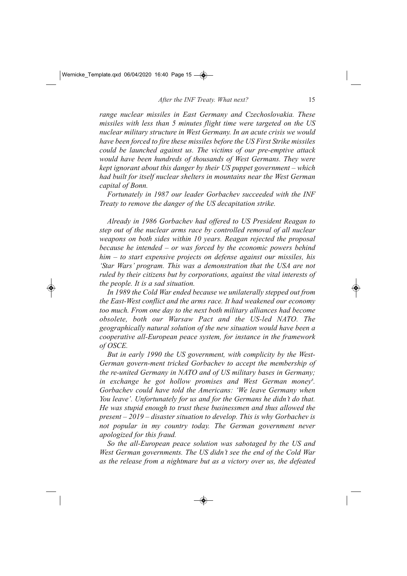*range nuclear missiles in East Germany and Czechoslovakia. These missiles with less than 5 minutes flight time were targeted on the US nuclear military structure in West Germany. In an acute crisis we would have been forced to fire these missiles before the US First Strike missiles could be launched against us. The victims of our pre-emptive attack would have been hundreds of thousands of West Germans. They were kept ignorant about this danger by their US puppet government – which had built for itself nuclear shelters in mountains near the West German capital of Bonn.*

*Fortunately in 1987 our leader Gorbachev succeeded with the INF Treaty to remove the danger of the US decapitation strike.* 

*Already in 1986 Gorbachev had offered to US President Reagan to step out of the nuclear arms race by controlled removal of all nuclear weapons on both sides within 10 years. Reagan rejected the proposal because he intended – or was forced by the economic powers behind him – to start expensive projects on defense against our missiles, his 'Star Wars' program. This was a demonstration that the USA are not ruled by their citizens but by corporations, against the vital interests of the people. It is a sad situation.*

*In 1989 the Cold War ended because we unilaterally stepped out from the East-West conflict and the arms race. It had weakened our economy too much. From one day to the next both military alliances had become obsolete, both our Warsaw Pact and the USled NATO. The geographically natural solution of the new situation would have been a cooperative allEuropean peace system, for instance in the framework of OSCE.*

*But in early 1990 the US government, with complicity by the West-*German govern-ment tricked Gorbachev to accept the membership of *the re-united Germany in NATO and of US military bases in Germany;* in exchange he got hollow promises and West German money<sup>8</sup>. *Gorbachev could have told the Americans: 'We leave Germany when You leave'. Unfortunately for us and for the Germans he didn't do that. He was stupid enough to trust these businessmen and thus allowed the present – 2019 – disaster situation to develop. This is why Gorbachev is not popular in my country today. The German government never apologized for this fraud.* 

So the all-European peace solution was sabotaged by the US and *West German governments. The US didn't see the end of the Cold War as the release from a nightmare but as a victory over us, the defeated*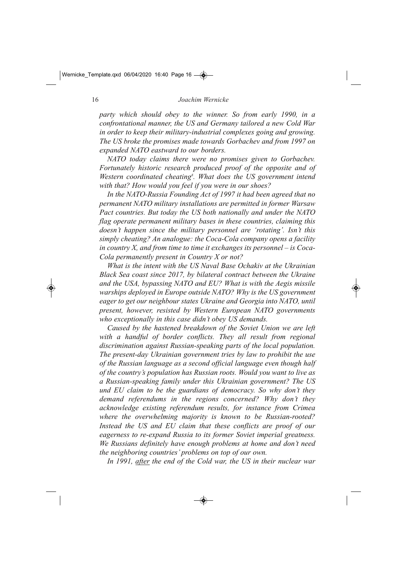*party which should obey to the winner. So from early 1990, in a confrontational manner, the US and Germany tailored a new Cold War* in order to keep their military-industrial complexes going and growing. *The US broke the promises made towards Gorbachev and from 1997 on expanded NATO eastward to our borders.* 

*NATO today claims there were no promises given to Gorbachev. Fortunately historic research produced proof of the opposite and of Western coordinated cheating8 . What does the US government intend with that? How would you feel if you were in our shoes?*

In the NATO-Russia Founding Act of 1997 it had been agreed that no *permanent NATO military installations are permitted in former Warsaw Pact countries. But today the US both nationally and under the NATO flag operate permanent military bases in these countries, claiming this doesn't happen since the military personnel are 'rotating'. Isn't this simply cheating? An analogue: the Coca-Cola company opens a facility in country X, and from time to time it exchanges its personnel – is Coca-Cola permanently present in Country X or not?* 

*What is the intent with the US Naval Base Ochakiv at the Ukrainian Black Sea coast since 2017, by bilateral contract between the Ukraine and the USA, bypassing NATO and EU? What is with the Aegis missile warships deployed in Europe outside NATO? Why is the US government eager to get our neighbour states Ukraine and Georgia into NATO, until present, however, resisted by Western European NATO governments who exceptionally in this case didn't obey US demands.*

*Caused by the hastened breakdown of the Soviet Union we are left with a handful of border conflicts. They all result from regional* discrimination against Russian-speaking parts of the local population. *The present-day Ukrainian government tries by law to prohibit the use of the Russian language as a second official language even though half of the country's population has Russian roots. Would you want to live as a Russian-speaking family under this Ukrainian government? The US und EU claim to be the guardians of democracy. So why don't they demand referendums in the regions concerned? Why don't they acknowledge existing referendum results, for instance from Crimea* where the overwhelming majority is known to be Russian-rooted? *Instead the US and EU claim that these conflicts are proof of our* eagerness to re-expand Russia to its former Soviet imperial greatness. *We Russians definitely have enough problems at home and don't need the neighboring countries' problems on top of our own.*

*In 1991, after the end of the Cold war, the US in their nuclear war*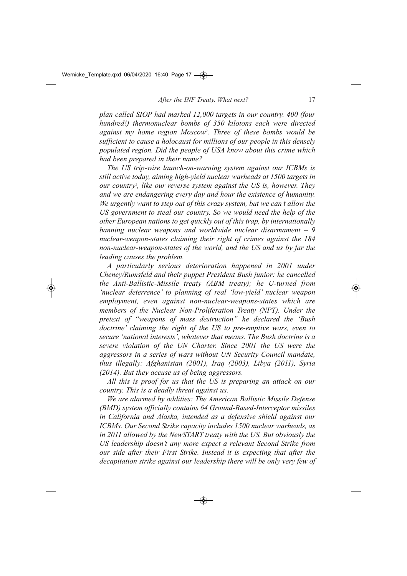*plan called SIOP had marked 12,000 targets in our country. 400 (four hundred!) thermonuclear bombs of 350 kilotons each were directed against my home region Moscow2 . Three of these bombs would be sufficient to cause a holocaust for millions of our people in this densely populated region. Did the people of USA know about this crime which had been prepared in their name?*

*The US trip-wire launch-on-warning system against our ICBMs is still active today, aiming high-yield nuclear warheads at 1500 targets in our country2 , like our reverse system against the US is, however. They and we are endangering every day and hour the existence of humanity. We urgently want to step out of this crazy system, but we can't allow the US government to steal our country. So we would need the help of the other European nations to get quickly out of this trap, by internationally banning nuclear weapons and worldwide nuclear disarmament – 9* nuclear-weapon-states claiming their right of crimes against the 184 *non-nuclear-weapon-states of the world, and the US and us by far the leading causes the problem.*

*A particularly serious deterioration happened in 2001 under Cheney/Rumsfeld and their puppet President Bush junior: he cancelled the Anti-Ballistic-Missile treaty (ABM treaty); he U-turned from* 'nuclear deterrence' to planning of real 'low-vield' nuclear weapon *employment, even against non-nuclear-weapons-states which are members of the Nuclear Non-Proliferation Treaty (NPT). Under the pretext of "weapons of mass destruction" he declared the 'Bush* doctrine' claiming the right of the US to pre-emptive wars, even to *secure 'national interests', whatever that means. The Bush doctrine is a severe violation of the UN Charter. Since 2001 the US were the aggressors in a series of wars without UN Security Council mandate, thus illegally: Afghanistan (2001), Iraq (2003), Libya (2011), Syria (2014). But they accuse us of being aggressors.*

*All this is proof for us that the US is preparing an attack on our country. This is a deadly threat against us.* 

*We are alarmed by oddities: The American Ballistic Missile Defense (BMD) system officially contains 64 Ground-Based-Interceptor missiles in California and Alaska, intended as a defensive shield against our ICBMs. Our Second Strike capacity includes 1500 nuclear warheads, as in 2011 allowed by the NewSTART treaty with the US. But obviously the US leadership doesn't any more expect a relevant Second Strike from our side after their First Strike. Instead it is expecting that after the decapitation strike against our leadership there will be only very few of*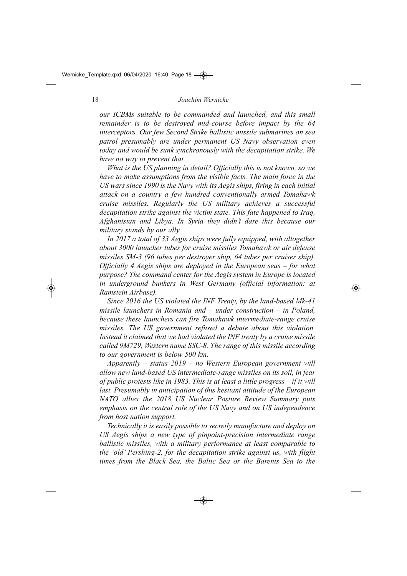*our ICBMs suitable to be commanded and launched, and this small remainder is to be destroyed mid-course before impact by the 64 interceptors. Our few Second Strike ballistic missile submarines on sea patrol presumably are under permanent US Navy observation even today and would be sunk synchronously with the decapitation strike. We have no way to prevent that.*

*What is the US planning in detail? Officially this is not known, so we have to make assumptions from the visible facts. The main force in the US wars since 1990 is the Navy with its Aegis ships, firing in each initial attack on a country a few hundred conventionally armed Tomahawk cruise missiles. Regularly the US military achieves a successful decapitation strike against the victim state. This fate happened to Iraq, Afghanistan and Libya. In Syria they didn't dare this because our military stands by our ally.* 

*In 2017 a total of 33 Aegis ships were fully equipped, with altogether about 3000 launcher tubes for cruise missiles Tomahawk or air defense missiles SM3 (96 tubes per destroyer ship, 64 tubes per cruiser ship). Officially 4 Aegis ships are deployed in the European seas – for what purpose? The command center for the Aegis system in Europe is located in underground bunkers in West Germany (official information: at Ramstein Airbase).*

*Since 2016 the US violated the INF Treaty, by the land-based Mk-41 missile launchers in Romania and – under construction – in Poland, because these launchers can fire Tomahawk intermediate-range cruise missiles. The US government refused a debate about this violation. Instead it claimed that we had violated the INF treaty by a cruise missile called 9M729, Western name SSC8. The range of this missile according to our government is below 500 km.*

*Apparently – status 2019 – no Western European government will* allow new land-based US intermediate-range missiles on its soil, in fear *of public protests like in 1983. This is at least a little progress – if it will last. Presumably in anticipation of this hesitant attitude of the European NATO allies the 2018 US Nuclear Posture Review Summary puts emphasis on the central role of the US Navy and on US independence from host nation support.* 

*Technically it is easily possible to secretly manufacture and deploy on* US Aegis ships a new type of pinpoint-precision intermediate range *ballistic missiles, with a military performance at least comparable to the 'old' Pershing-2, for the decapitation strike against us, with flight times from the Black Sea, the Baltic Sea or the Barents Sea to the*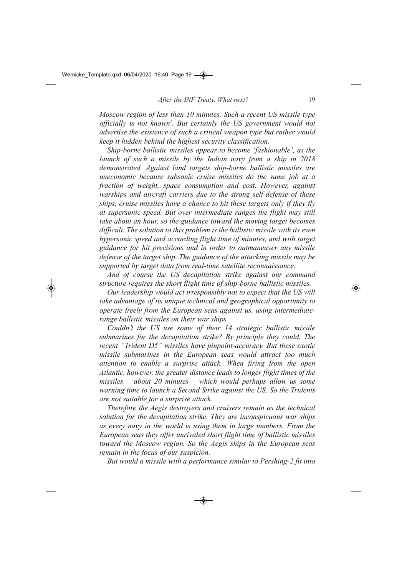*Moscow region of less than 10 minutes. Such a recent US missile type officially is not known7 . But certainly the US government would not advertise the existence of such a critical weapon type but rather would keep it hidden behind the highest security classification.* 

*Ship-borne ballistic missiles appear to become 'fashionable', as the launch of such a missile by the Indian navy from a ship in 2018* demonstrated. Against land targets ship-borne ballistic missiles are *uneconomic because subsonic cruise missiles do the same job at a fraction of weight, space consumption and cost. However, against warships and aircraft carriers due to the strong self-defense of these ships, cruise missiles have a chance to hit these targets only if they fly at supersonic speed. But over intermediate ranges the flight may still take about an hour, so the guidance toward the moving target becomes difficult. The solution to this problem is the ballistic missile with its even hypersonic speed and according flight time of minutes, and with target guidance for hit precisions and in order to outmaneuver any missile defense of the target ship. The guidance of the attacking missile may be* supported by target data from real-time satellite reconnaissance.

*And of course the US decapitation strike against our command structure requires the short flight time of ship-borne ballistic missiles.* 

*Our leadership would act irresponsibly not to expect that the US will take advantage of its unique technical and geographical opportunity to operate freely from the European seas against us, using intermediaterange ballistic missiles on their war ships.* 

*Couldn't the US use some of their 14 strategic ballistic missile submarines for the decapitation strike? By principle they could. The recent "Trident D5" missiles have pinpoint-accuracy. But these exotic missile submarines in the European seas would attract too much attention to enable a surprise attack. When firing from the open Atlantic, however, the greater distance leads to longer flight times of the missiles – about 20 minutes – which would perhaps allow us some warning time to launch a Second Strike against the US. So the Tridents are not suitable for a surprise attack.*

*Therefore the Aegis destroyers and cruisers remain as the technical solution for the decapitation strike. They are inconspicuous war ships as every navy in the world is using them in large numbers. From the European seas they offer unrivaled short flight time of ballistic missiles toward the Moscow region. So the Aegis ships in the European seas remain in the focus of our suspicion.* 

*But would a missile with a performance similar to Pershing-2 fit into*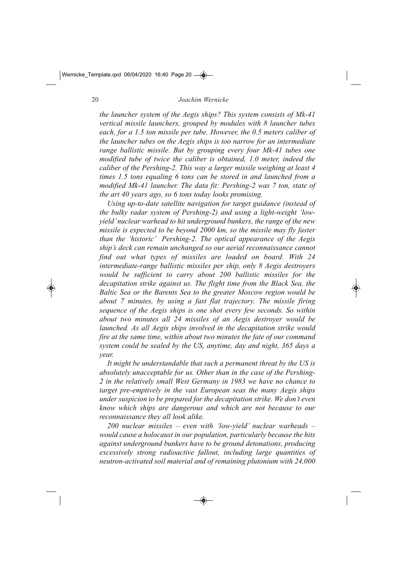*the launcher system of the Aegis ships? This system consists of Mk-41 vertical missile launchers, grouped by modules with 8 launcher tubes each, for a 1.5 ton missile per tube. However, the 0.5 meters caliber of the launcher tubes on the Aegis ships is too narrow for an intermediate range ballistic missile. But by grouping every four Mk-41 tubes one modified tube of twice the caliber is obtained, 1.0 meter, indeed the caliber of the Pershing-2. This way a larger missile weighing at least 4 times 1.5 tons equaling 6 tons can be stored in and launched from a modified Mk-41 launcher. The data fit: Pershing-2 was 7 ton, state of the art 40 years ago, so 6 tons today looks promising.* 

Using up-to-date satellite navigation for target guidance (instead of *the bulky radar system of Pershing-2) and using a light-weight 'lowyield' nuclear warhead to hit underground bunkers, the range of the new missile is expected to be beyond 2000 km, so the missile may fly faster than the 'historic' Pershing-2. The optical appearance of the Aegis ship's deck can remain unchanged so our aerial reconnaissance cannot find out what types of missiles are loaded on board. With 24 intermediate-range ballistic missiles per ship, only 8 Aegis destroyers would be sufficient to carry about 200 ballistic missiles for the decapitation strike against us. The flight time from the Black Sea, the Baltic Sea or the Barents Sea to the greater Moscow region would be about 7 minutes, by using a fast flat trajectory. The missile firing sequence of the Aegis ships is one shot every few seconds. So within about two minutes all 24 missiles of an Aegis destroyer would be launched. As all Aegis ships involved in the decapitation strike would fire at the same time, within about two minutes the fate of our command system could be sealed by the US, anytime, day and night, 365 days a year.* 

*It might be understandable that such a permanent threat by the US is absolutely unacceptable for us. Other than in the case of the Pershing-2 in the relatively small West Germany in 1983 we have no chance to target pre-emptively in the vast European seas the many Aegis ships under suspicion to be prepared for the decapitation strike. We don't even know which ships are dangerous and which are not because to our reconnaissance they all look alike.* 

*200 nuclear missiles – even with 'lowyield' nuclear warheads – would cause a holocaust in our population, particularly because the hits against underground bunkers have to be ground detonations, producing excessively strong radioactive fallout, including large quantities of neutron-activated soil material and of remaining plutonium with 24,000*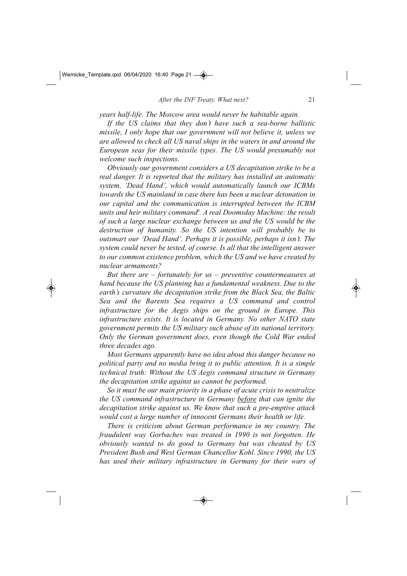*years half-life. The Moscow area would never be habitable again.* 

If the US claims that they don't have such a sea-borne ballistic *missile, I only hope that our government will not believe it, unless we are allowed to check all US naval ships in the waters in and around the European seas for their missile types. The US would presumably not welcome such inspections.* 

*Obviously our government considers a US decapitation strike to be a real danger. It is reported that the military has installed an automatic system, 'Dead Hand', which would automatically launch our ICBMs towards the US mainland in case there has been a nuclear detonation in our capital and the communication is interrupted between the ICBM units and heir military command9 . A real Doomsday Machine: the result of such a large nuclear exchange between us and the US would be the destruction of humanity. So the US intention will probably be to outsmart our 'Dead Hand'. Perhaps it is possible, perhaps it isn't. The system could never be tested, of course. Is all that the intelligent answer to our common existence problem, which the US and we have created by nuclear armaments?* 

*But there are – fortunately for us – preventive countermeasures at hand because the US planning has a fundamental weakness. Due to the earth's curvature the decapitation strike from the Black Sea, the Baltic Sea and the Barents Sea requires a US command and control infrastructure for the Aegis ships on the ground in Europe. This infrastructure exists. It is located in Germany. No other NATO state government permits the US military such abuse of its national territory. Only the German government does, even though the Cold War ended three decades ago.* 

*Most Germans apparently have no idea about this danger because no political party and no media bring it to public attention. It is a simple technical truth: Without the US Aegis command structure in Germany the decapitation strike against us cannot be performed.* 

*So it must be our main priority in a phase of acute crisis to neutralize the US command infrastructure in Germany before that can ignite the decapitation strike against us. We know that such a pre-emptive attack would cost a large number of innocent Germans their health or life.* 

*There is criticism about German performance in my country. The fraudulent way Gorbachev was treated in 1990 is not forgotten. He obviously wanted to do good to Germany but was cheated by US President Bush and West German Chancellor Kohl. Since 1990, the US has used their military infrastructure in Germany for their wars of*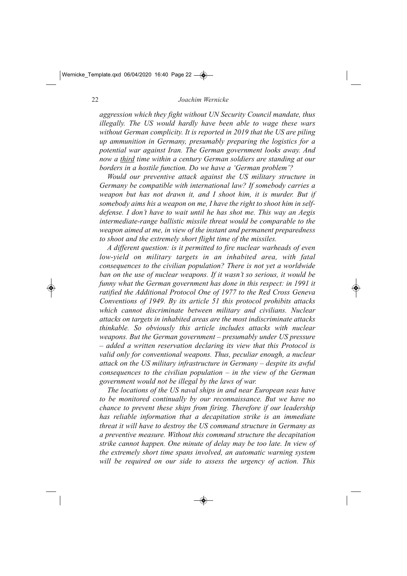*aggression which they fight without UN Security Council mandate, thus illegally. The US would hardly have been able to wage these wars without German complicity. It is reported in 2019 that the US are piling up ammunition in Germany, presumably preparing the logistics for a potential war against Iran. The German government looks away. And now a third time within a century German soldiers are standing at our borders in a hostile function. Do we have a 'German problem'?* 

*Would our preventive attack against the US military structure in Germany be compatible with international law? If somebody carries a weapon but has not drawn it, and I shoot him, it is murder. But if somebody aims his a weapon on me, I have the right to shoot him in selfdefense. I don't have to wait until he has shot me. This way an Aegis intermediate-range ballistic missile threat would be comparable to the weapon aimed at me, in view of the instant and permanent preparedness to shoot and the extremely short flight time of the missiles.* 

*A different question: is it permitted to fire nuclear warheads of even low-yield on military targets in an inhabited area, with fatal consequences to the civilian population? There is not yet a worldwide ban on the use of nuclear weapons. If it wasn't so serious, it would be funny what the German government has done in this respect: in 1991 it ratified the Additional Protocol One of 1977 to the Red Cross Geneva Conventions of 1949. By its article 51 this protocol prohibits attacks which cannot discriminate between military and civilians. Nuclear attacks on targets in inhabited areas are the most indiscriminate attacks thinkable. So obviously this article includes attacks with nuclear weapons. But the German government – presumably under US pressure – added a written reservation declaring its view that this Protocol is valid only for conventional weapons. Thus, peculiar enough, a nuclear attack on the US military infrastructure in Germany – despite its awful consequences to the civilian population – in the view of the German government would not be illegal by the laws of war.* 

*The locations of the US naval ships in and near European seas have to be monitored continually by our reconnaissance. But we have no chance to prevent these ships from firing. Therefore if our leadership has reliable information that a decapitation strike is an immediate threat it will have to destroy the US command structure in Germany as a preventive measure. Without this command structure the decapitation strike cannot happen. One minute of delay may be too late. In view of the extremely short time spans involved, an automatic warning system will be required on our side to assess the urgency of action. This*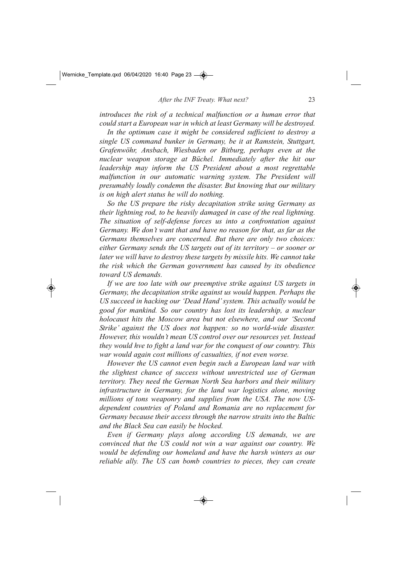*introduces the risk of a technical malfunction or a human error that could start a European war in which at least Germany will be destroyed.* 

*In the optimum case it might be considered sufficient to destroy a single US command bunker in Germany, be it at Ramstein, Stuttgart, Grafenwöhr, Ansbach, Wiesbaden or Bitburg, perhaps even at the nuclear weapon storage at Büchel. Immediately after the hit our leadership may inform the US President about a most regrettable malfunction in our automatic warning system. The President will presumably loudly condemn the disaster. But knowing that our military is on high alert status he will do nothing.* 

*So the US prepare the risky decapitation strike using Germany as their lightning rod, to be heavily damaged in case of the real lightning. The situation of self-defense forces us into a confrontation against Germany. We don't want that and have no reason for that, as far as the Germans themselves are concerned. But there are only two choices: either Germany sends the US targets out of its territory – or sooner or later we will have to destroy these targets by missile hits. We cannot take the risk which the German government has caused by its obedience toward US demands.*

*If we are too late with our preemptive strike against US targets in Germany, the decapitation strike against us would happen. Perhaps the US succeed in hacking our 'Dead Hand' system. This actually would be good for mankind. So our country has lost its leadership, a nuclear holocaust hits the Moscow area but not elsewhere, and our 'Second Strike' against the US does not happen: so no world-wide disaster. However, this wouldn't mean US control over our resources yet. Instead they would hve to fight a land war for the conquest of our country. This war would again cost millions of casualties, if not even worse.* 

*However the US cannot even begin such a European land war with the slightest chance of success without unrestricted use of German territory. They need the German North Sea harbors and their military infrastructure in Germany, for the land war logistics alone, moving millions of tons weaponry and supplies from the USA. The now USdependent countries of Poland and Romania are no replacement for Germany because their access through the narrow straits into the Baltic and the Black Sea can easily be blocked.* 

*Even if Germany plays along according US demands, we are convinced that the US could not win a war against our country. We would be defending our homeland and have the harsh winters as our reliable ally. The US can bomb countries to pieces, they can create*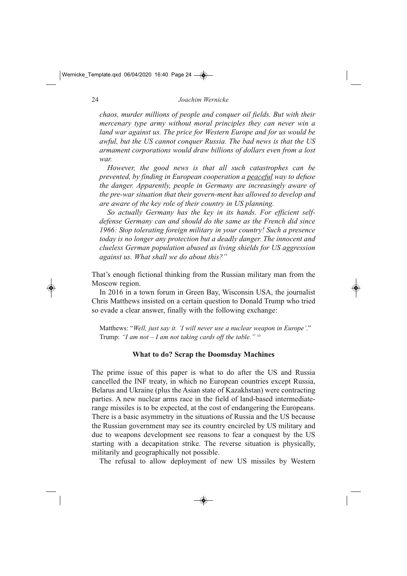*chaos, murder millions of people and conquer oil fields. But with their mercenary type army without moral principles they can never win a land war against us. The price for Western Europe and for us would be awful, but the US cannot conquer Russia. The bad news is that the US armament corporations would draw billions of dollars even from a lost war.*

*However, the good news is that all such catastrophes can be prevented, by finding in European cooperation a peaceful way to defuse the danger. Apparently, people in Germany are increasingly aware of the pre-war situation that their govern-ment has allowed to develop and are aware of the key role of their country in US planning.*

*So actually Germany has the key in its hands. For efficient selfdefense Germany can and should do the same as the French did since 1966: Stop tolerating foreign military in your country! Such a presence today is no longer any protection but a deadly danger. The innocent and clueless German population abused as living shields for US aggression against us. What shall we do about this?"*

That's enough fictional thinking from the Russian military man from the Moscow region.

In 2016 in a town forum in Green Bay, Wisconsin USA, the journalist Chris Matthews insisted on a certain question to Donald Trump who tried so evade a clear answer, finally with the following exchange:

Matthews: "*Well, just say it. 'I will never use a nuclear weapon in Europe'*." Trump: *"I am not – I am not taking cards off the table."* <sup>10</sup>

#### **What to do? Scrap the Doomsday Machines**

The prime issue of this paper is what to do after the US and Russia cancelled the INF treaty, in which no European countries except Russia, Belarus and Ukraine (plus the Asian state of Kazakhstan) were contracting parties. A new nuclear arms race in the field of land-based intermediaterange missiles is to be expected, at the cost of endangering the Europeans. There is a basic asymmetry in the situations of Russia and the US because the Russian government may see its country encircled by US military and due to weapons development see reasons to fear a conquest by the US starting with a decapitation strike. The reverse situation is physically, militarily and geographically not possible.

The refusal to allow deployment of new US missiles by Western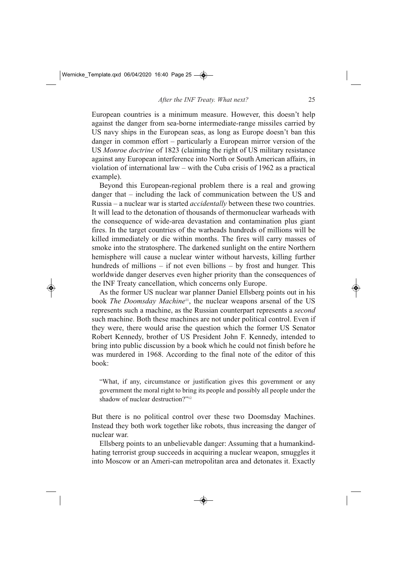European countries is a minimum measure. However, this doesn't help against the danger from sea-borne intermediate-range missiles carried by US navy ships in the European seas, as long as Europe doesn't ban this danger in common effort – particularly a European mirror version of the US *Monroe doctrine* of 1823 (claiming the right of US military resistance against any European interference into North or South American affairs, in violation of international law – with the Cuba crisis of 1962 as a practical example).

Beyond this European-regional problem there is a real and growing danger that – including the lack of communication between the US and Russia – a nuclear war is started *accidentally* between these two countries. It will lead to the detonation of thousands of thermonuclear warheads with the consequence of wide-area devastation and contamination plus giant fires. In the target countries of the warheads hundreds of millions will be killed immediately or die within months. The fires will carry masses of smoke into the stratosphere. The darkened sunlight on the entire Northern hemisphere will cause a nuclear winter without harvests, killing further hundreds of millions  $-$  if not even billions  $-$  by frost and hunger. This worldwide danger deserves even higher priority than the consequences of the INF Treaty cancellation, which concerns only Europe.

As the former US nuclear war planner Daniel Ellsberg points out in his book *The Doomsday Machine*<sup>11</sup>, the nuclear weapons arsenal of the US represents such a machine, as the Russian counterpart represents a *second* such machine. Both these machines are not under political control. Even if they were, there would arise the question which the former US Senator Robert Kennedy, brother of US President John F. Kennedy, intended to bring into public discussion by a book which he could not finish before he was murdered in 1968. According to the final note of the editor of this book:

"What, if any, circumstance or justification gives this government or any government the moral right to bring its people and possibly all people under the shadow of nuclear destruction?"<sup>12</sup>

But there is no political control over these two Doomsday Machines. Instead they both work together like robots, thus increasing the danger of nuclear war.

Ellsberg points to an unbelievable danger: Assuming that a humankindhating terrorist group succeeds in acquiring a nuclear weapon, smuggles it into Moscow or an Ameri-can metropolitan area and detonates it. Exactly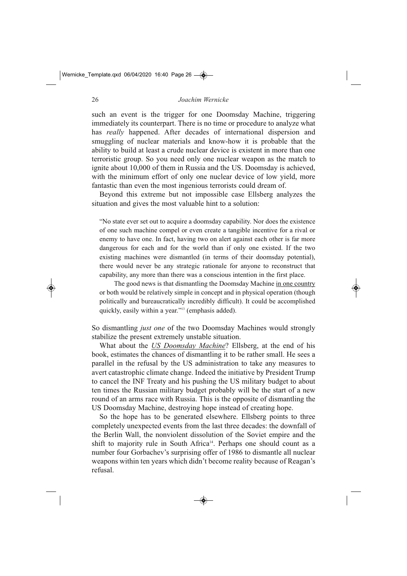such an event is the trigger for one Doomsday Machine, triggering immediately its counterpart. There is no time or procedure to analyze what has *really* happened. After decades of international dispersion and smuggling of nuclear materials and know-how it is probable that the ability to build at least a crude nuclear device is existent in more than one terroristic group. So you need only one nuclear weapon as the match to ignite about 10,000 of them in Russia and the US. Doomsday is achieved, with the minimum effort of only one nuclear device of low yield, more fantastic than even the most ingenious terrorists could dream of.

Beyond this extreme but not impossible case Ellsberg analyzes the situation and gives the most valuable hint to a solution:

"No state ever set out to acquire a doomsday capability. Nor does the existence of one such machine compel or even create a tangible incentive for a rival or enemy to have one. In fact, having two on alert against each other is far more dangerous for each and for the world than if only one existed. If the two existing machines were dismantled (in terms of their doomsday potential), there would never be any strategic rationale for anyone to reconstruct that capability, any more than there was a conscious intention in the first place.

The good news is that dismantling the Doomsday Machine in one country or both would be relatively simple in concept and in physical operation (though politically and bureaucratically incredibly difficult). It could be accomplished quickly, easily within a year."13 (emphasis added).

So dismantling *just one* of the two Doomsday Machines would strongly stabilize the present extremely unstable situation.

What about the *US Doomsday Machine*? Ellsberg, at the end of his book, estimates the chances of dismantling it to be rather small. He sees a parallel in the refusal by the US administration to take any measures to avert catastrophic climate change. Indeed the initiative by President Trump to cancel the INF Treaty and his pushing the US military budget to about ten times the Russian military budget probably will be the start of a new round of an arms race with Russia. This is the opposite of dismantling the US Doomsday Machine, destroying hope instead of creating hope.

So the hope has to be generated elsewhere. Ellsberg points to three completely unexpected events from the last three decades: the downfall of the Berlin Wall, the nonviolent dissolution of the Soviet empire and the shift to majority rule in South Africa<sup>14</sup>. Perhaps one should count as a number four Gorbachev's surprising offer of 1986 to dismantle all nuclear weapons within ten years which didn't become reality because of Reagan's refusal.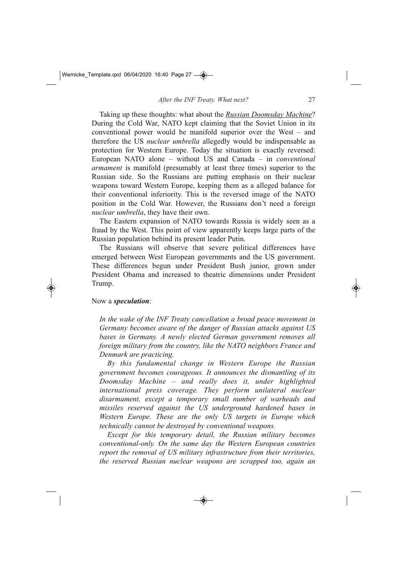Taking up these thoughts: what about the *Russian Doomsday Machine*? During the Cold War, NATO kept claiming that the Soviet Union in its conventional power would be manifold superior over the West – and therefore the US *nuclear umbrella* allegedly would be indispensable as protection for Western Europe. Today the situation is exactly reversed: European NATO alone – without US and Canada – in *conventional armament* is manifold (presumably at least three times) superior to the Russian side. So the Russians are putting emphasis on their nuclear weapons toward Western Europe, keeping them as a alleged balance for their conventional inferiority. This is the reversed image of the NATO position in the Cold War. However, the Russians don't need a foreign *nuclear umbrella*, they have their own.

The Eastern expansion of NATO towards Russia is widely seen as a fraud by the West. This point of view apparently keeps large parts of the Russian population behind its present leader Putin.

The Russians will observe that severe political differences have emerged between West European governments and the US government. These differences begun under President Bush junior, grown under President Obama and increased to theatric dimensions under President Trump.

#### Now a *speculation*:

*In the wake of the INF Treaty cancellation a broad peace movement in Germany becomes aware of the danger of Russian attacks against US bases in Germany. A newly elected German government removes all foreign military from the country, like the NATO neighbors France and Denmark are practicing.* 

*By this fundamental change in Western Europe the Russian government becomes courageous. It announces the dismantling of its Doomsday Machine – and really does it, under highlighted international press coverage. They perform unilateral nuclear disarmament, except a temporary small number of warheads and missiles reserved against the US underground hardened bases in Western Europe. These are the only US targets in Europe which technically cannot be destroyed by conventional weapons.* 

*Except for this temporary detail, the Russian military becomes conventional-only. On the same day the Western European countries report the removal of US military infrastructure from their territories, the reserved Russian nuclear weapons are scrapped too, again an*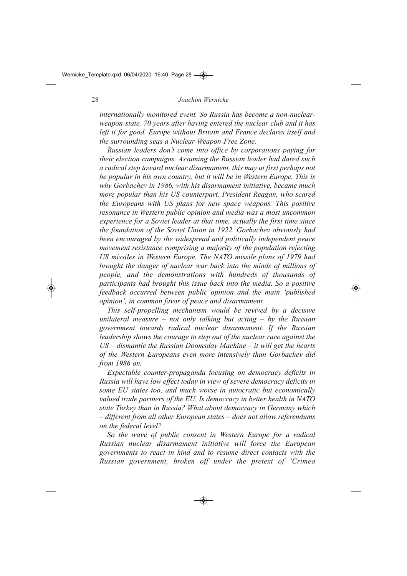internationally monitored event. So Russia has become a non-nuclear*weaponstate. 70 years after having entered the nuclear club and it has left it for good. Europe without Britain and France declares itself and the surrounding seas a Nuclear-Weapon-Free Zone.* 

*Russian leaders don't come into office by corporations paying for their election campaigns. Assuming the Russian leader had dared such a radical step toward nuclear disarmament, this may at first perhaps not be popular in his own country, but it will be in Western Europe. This is why Gorbachev in 1986, with his disarmament initiative, became much more popular than his US counterpart, President Reagan, who scared the Europeans with US plans for new space weapons. This positive resonance in Western public opinion and media was a most uncommon experience for a Soviet leader at that time, actually the first time since the foundation of the Soviet Union in 1922. Gorbachev obviously had been encouraged by the widespread and politically independent peace movement resistance comprising a majority of the population rejecting US missiles in Western Europe. The NATO missile plans of 1979 had brought the danger of nuclear war back into the minds of millions of people, and the demonstrations with hundreds of thousands of participants had brought this issue back into the media. So a positive feedback occurred between public opinion and the main 'published opinion', in common favor of peace and disarmament.* 

*This self-propelling mechanism would be revived by a decisive unilateral measure – not only talking but acting – by the Russian government towards radical nuclear disarmament. If the Russian leadership shows the courage to step out of the nuclear race against the US – dismantle the Russian Doomsday Machine – it will get the hearts of the Western Europeans even more intensively than Gorbachev did from 1986 on.* 

*Expectable counter-propaganda focusing on democracy deficits in Russia will have low effect today in view of severe democracy deficits in some EU states too, and much worse in autocratic but economically valued trade partners of the EU. Is democracy in better health in NATO state Turkey than in Russia? What about democracy in Germany which – different from all other European states – does not allow referendums on the federal level?*

*So the wave of public consent in Western Europe for a radical Russian nuclear disarmament initiative will force the European governments to react in kind and to resume direct contacts with the Russian government, broken off under the pretext of 'Crimea*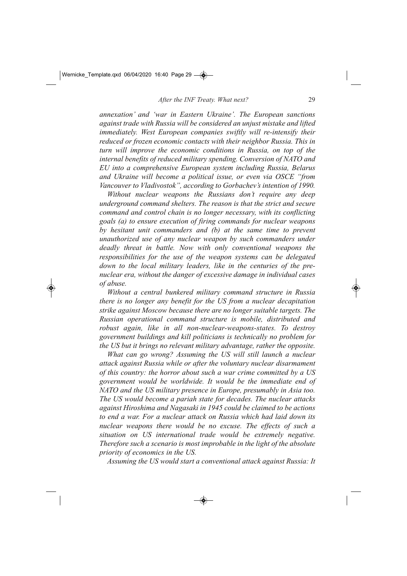*annexation' and 'war in Eastern Ukraine'. The European sanctions against trade with Russia will be considered an unjust mistake and lifted immediately. West European companies swiftly will re-intensify their reduced or frozen economic contacts with their neighbor Russia. This in turn will improve the economic conditions in Russia, on top of the internal benefits of reduced military spending. Conversion of NATO and EU into a comprehensive European system including Russia, Belarus and Ukraine will become a political issue, or even via OSCE "from Vancouver to Vladivostok", according to Gorbachev's intention of 1990.*

*Without nuclear weapons the Russians don't require any deep underground command shelters. The reason is that the strict and secure command and control chain is no longer necessary, with its conflicting goals (a) to ensure execution of firing commands for nuclear weapons by hesitant unit commanders and (b) at the same time to prevent unauthorized use of any nuclear weapon by such commanders under deadly threat in battle. Now with only conventional weapons the responsibilities for the use of the weapon systems can be delegated down to the local military leaders, like in the centuries of the prenuclear era, without the danger of excessive damage in individual cases of abuse.* 

*Without a central bunkered military command structure in Russia there is no longer any benefit for the US from a nuclear decapitation strike against Moscow because there are no longer suitable targets. The Russian operational command structure is mobile, distributed and robust again, like in all non-nuclear-weapons-states. To destroy government buildings and kill politicians is technically no problem for the US but it brings no relevant military advantage, rather the opposite.*

*What can go wrong? Assuming the US will still launch a nuclear attack against Russia while or after the voluntary nuclear disarmament of this country: the horror about such a war crime committed by a US government would be worldwide. It would be the immediate end of NATO and the US military presence in Europe, presumably in Asia too. The US would become a pariah state for decades. The nuclear attacks against Hiroshima and Nagasaki in 1945 could be claimed to be actions to end a war. For a nuclear attack on Russia which had laid down its nuclear weapons there would be no excuse. The effects of such a situation on US international trade would be extremely negative. Therefore such a scenario is most improbable in the light of the absolute priority of economics in the US.*

*Assuming the US would start a conventional attack against Russia: It*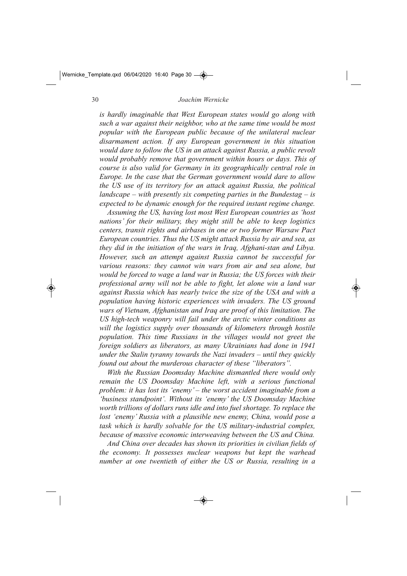#### *Joachim Wernicke*

*is hardly imaginable that West European states would go along with such a war against their neighbor, who at the same time would be most popular with the European public because of the unilateral nuclear disarmament action. If any European government in this situation would dare to follow the US in an attack against Russia, a public revolt would probably remove that government within hours or days. This of course is also valid for Germany in its geographically central role in Europe. In the case that the German government would dare to allow the US use of its territory for an attack against Russia, the political landscape – with presently six competing parties in the Bundestag – is expected to be dynamic enough for the required instant regime change.* 

*Assuming the US, having lost most West European countries as 'host nations' for their military, they might still be able to keep logistics centers, transit rights and airbases in one or two former Warsaw Pact European countries. Thus the US might attack Russia by air and sea, as they did in the initiation of the wars in Iraq, Afghani-stan and Libya. However, such an attempt against Russia cannot be successful for various reasons: they cannot win wars from air and sea alone, but would be forced to wage a land war in Russia; the US forces with their professional army will not be able to fight, let alone win a land war against Russia which has nearly twice the size of the USA and with a population having historic experiences with invaders. The US ground wars of Vietnam, Afghanistan and Iraq are proof of this limitation. The* US high-tech weaponry will fail under the arctic winter conditions as *will the logistics supply over thousands of kilometers through hostile population. This time Russians in the villages would not greet the foreign soldiers as liberators, as many Ukrainians had done in 1941 under the Stalin tyranny towards the Nazi invaders – until they quickly found out about the murderous character of these "liberators".* 

*With the Russian Doomsday Machine dismantled there would only remain the US Doomsday Machine left, with a serious functional problem: it has lost its 'enemy' – the worst accident imaginable from a 'business standpoint'. Without its 'enemy' the US Doomsday Machine worth trillions of dollars runs idle and into fuel shortage. To replace the lost 'enemy' Russia with a plausible new enemy, China, would pose a* task which is hardly solvable for the US military-industrial complex, *because of massive economic interweaving between the US and China.*

*And China over decades has shown its priorities in civilian fields of the economy. It possesses nuclear weapons but kept the warhead number at one twentieth of either the US or Russia, resulting in a*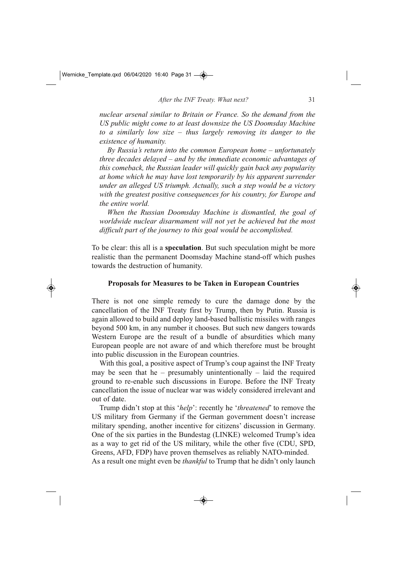*nuclear arsenal similar to Britain or France. So the demand from the US public might come to at least downsize the US Doomsday Machine to a similarly low size – thus largely removing its danger to the existence of humanity.*

*By Russia's return into the common European home – unfortunately three decades delayed – and by the immediate economic advantages of this comeback, the Russian leader will quickly gain back any popularity at home which he may have lost temporarily by his apparent surrender under an alleged US triumph. Actually, such a step would be a victory with the greatest positive consequences for his country, for Europe and the entire world.* 

*When the Russian Doomsday Machine is dismantled, the goal of worldwide nuclear disarmament will not yet be achieved but the most difficult part of the journey to this goal would be accomplished.* 

To be clear: this all is a **speculation**. But such speculation might be more realistic than the permanent Doomsday Machine stand-off which pushes towards the destruction of humanity.

#### **Proposals for Measures to be Taken in European Countries**

There is not one simple remedy to cure the damage done by the cancellation of the INF Treaty first by Trump, then by Putin. Russia is again allowed to build and deploy land-based ballistic missiles with ranges beyond 500 km, in any number it chooses. But such new dangers towards Western Europe are the result of a bundle of absurdities which many European people are not aware of and which therefore must be brought into public discussion in the European countries.

With this goal, a positive aspect of Trump's coup against the INF Treaty may be seen that he – presumably unintentionally – laid the required ground to re-enable such discussions in Europe. Before the INF Treaty cancellation the issue of nuclear war was widely considered irrelevant and out of date.

Trump didn't stop at this '*help*': recently he '*threatened*' to remove the US military from Germany if the German government doesn't increase military spending, another incentive for citizens' discussion in Germany. One of the six parties in the Bundestag (LINKE) welcomed Trump's idea as a way to get rid of the US military, while the other five (CDU, SPD, Greens, AFD, FDP) have proven themselves as reliably NATO-minded. As a result one might even be *thankful* to Trump that he didn't only launch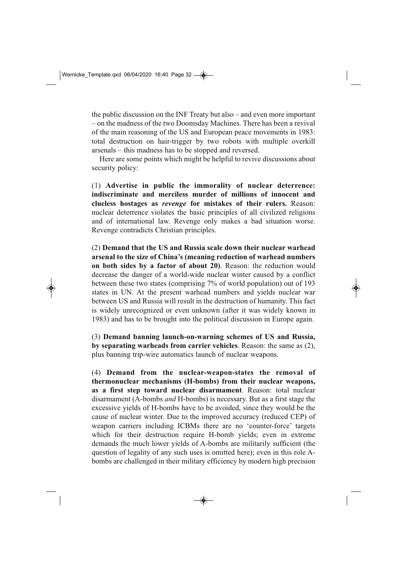the public discussion on the INF Treaty but also – and even more important – on the madness of the two Doomsday Machines. There has been a revival of the main reasoning of the US and European peace movements in 1983: total destruction on hair-trigger by two robots with multiple overkill arsenals – this madness has to be stopped and reversed.

Here are some points which might be helpful to revive discussions about security policy:

(1) **Advertise in public the immorality of nuclear deterrence: indiscriminate and merciless murder of millions of innocent and clueless hostages as** *revenge* **for mistakes of their rulers.** Reason: nuclear deterrence violates the basic principles of all civilized religions and of international law. Revenge only makes a bad situation worse. Revenge contradicts Christian principles.

(2) **Demand that the US and Russia scale down their nuclear warhead arsenal to the size of China's (meaning reduction of warhead numbers on both sides by a factor of about 20)**. Reason: the reduction would decrease the danger of a world-wide nuclear winter caused by a conflict between these two states (comprising 7% of world population) out of 193 states in UN. At the present warhead numbers and yields nuclear war between US and Russia will result in the destruction of humanity. This fact is widely unrecognized or even unknown (after it was widely known in 1983) and has to be brought into the political discussion in Europe again.

(3) Demand banning launch-on-warning schemes of US and Russia, **by separating warheads from carrier vehicles**. Reason: the same as (2), plus banning trip-wire automatics launch of nuclear weapons.

(4) **Demand from the nuclearweaponstates the removal of** thermonuclear mechanisms (H-bombs) from their nuclear weapons, **as a first step toward nuclear disarmament**. Reason: total nuclear disarmament (A-bombs *and* H-bombs) is necessary. But as a first stage the excessive yields of H-bombs have to be avoided, since they would be the cause of nuclear winter. Due to the improved accuracy (reduced CEP) of weapon carriers including ICBMs there are no 'counter-force' targets which for their destruction require H-bomb yields; even in extreme demands the much lower yields of A-bombs are militarily sufficient (the question of legality of any such uses is omitted here); even in this role Abombs are challenged in their military efficiency by modern high precision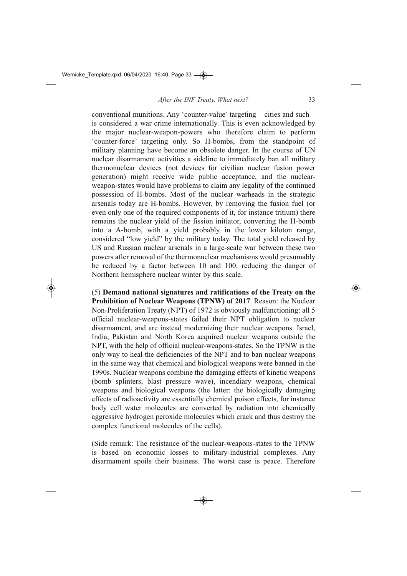conventional munitions. Any 'counter-value' targeting – cities and such – is considered a war crime internationally. This is even acknowledged by the major nuclear-weapon-powers who therefore claim to perform 'counter-force' targeting only. So H-bombs, from the standpoint of military planning have become an obsolete danger. In the course of UN nuclear disarmament activities a sideline to immediately ban all military thermonuclear devices (not devices for civilian nuclear fusion power generation) might receive wide public acceptance, and the nuclearweapon-states would have problems to claim any legality of the continued possession of H-bombs. Most of the nuclear warheads in the strategic arsenals today are H-bombs. However, by removing the fusion fuel (or even only one of the required components of it, for instance tritium) there remains the nuclear yield of the fission initiator, converting the H-bomb into a A-bomb, with a yield probably in the lower kiloton range, considered "low yield" by the military today. The total yield released by US and Russian nuclear arsenals in a large-scale war between these two powers after removal of the thermonuclear mechanisms would presumably be reduced by a factor between 10 and 100, reducing the danger of Northern hemisphere nuclear winter by this scale.

(5) **Demand national signatures and ratifications of the Treaty on the Prohibition of Nuclear Weapons (TPNW) of 2017**. Reason: the Nuclear Non-Proliferation Treaty (NPT) of 1972 is obviously malfunctioning: all 5 official nuclear-weapons-states failed their NPT obligation to nuclear disarmament, and are instead modernizing their nuclear weapons. Israel, India, Pakistan and North Korea acquired nuclear weapons outside the NPT, with the help of official nuclear-weapons-states. So the TPNW is the only way to heal the deficiencies of the NPT and to ban nuclear weapons in the same way that chemical and biological weapons were banned in the 1990s. Nuclear weapons combine the damaging effects of kinetic weapons (bomb splinters, blast pressure wave), incendiary weapons, chemical weapons and biological weapons (the latter: the biologically damaging effects of radioactivity are essentially chemical poison effects, for instance body cell water molecules are converted by radiation into chemically aggressive hydrogen peroxide molecules which crack and thus destroy the complex functional molecules of the cells).

(Side remark: The resistance of the nuclear-weapons-states to the TPNW is based on economic losses to military-industrial complexes. Any disarmament spoils their business. The worst case is peace. Therefore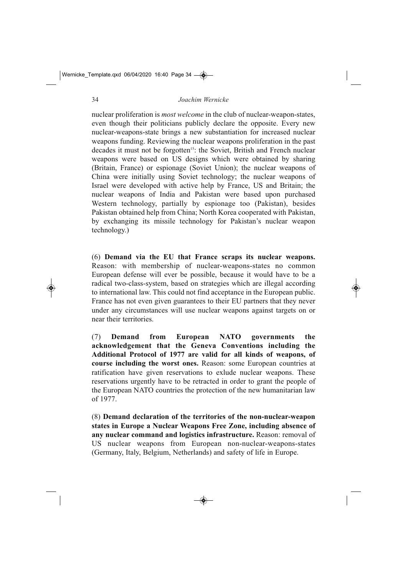nuclear proliferation is *most welcome* in the club of nuclear-weapon-states, even though their politicians publicly declare the opposite. Every new nuclear-weapons-state brings a new substantiation for increased nuclear weapons funding. Reviewing the nuclear weapons proliferation in the past decades it must not be forgotten<sup>15</sup>: the Soviet, British and French nuclear weapons were based on US designs which were obtained by sharing (Britain, France) or espionage (Soviet Union); the nuclear weapons of China were initially using Soviet technology; the nuclear weapons of Israel were developed with active help by France, US and Britain; the nuclear weapons of India and Pakistan were based upon purchased Western technology, partially by espionage too (Pakistan), besides Pakistan obtained help from China; North Korea cooperated with Pakistan, by exchanging its missile technology for Pakistan's nuclear weapon technology.)

(6) **Demand via the EU that France scraps its nuclear weapons.** Reason: with membership of nuclear-weapons-states no common European defense will ever be possible, because it would have to be a radical two-class-system, based on strategies which are illegal according to international law. This could not find acceptance in the European public. France has not even given guarantees to their EU partners that they never under any circumstances will use nuclear weapons against targets on or near their territories.

(7) **Demand from European NATO governments the acknowledgement that the Geneva Conventions including the Additional Protocol of 1977 are valid for all kinds of weapons, of course including the worst ones.** Reason: some European countries at ratification have given reservations to exlude nuclear weapons. These reservations urgently have to be retracted in order to grant the people of the European NATO countries the protection of the new humanitarian law of 1977.

(8) **Demand declaration of the territories of the non-nuclear-weapon states in Europe a Nuclear Weapons Free Zone, including absence of any nuclear command and logistics infrastructure.** Reason: removal of US nuclear weapons from European non-nuclear-weapons-states (Germany, Italy, Belgium, Netherlands) and safety of life in Europe.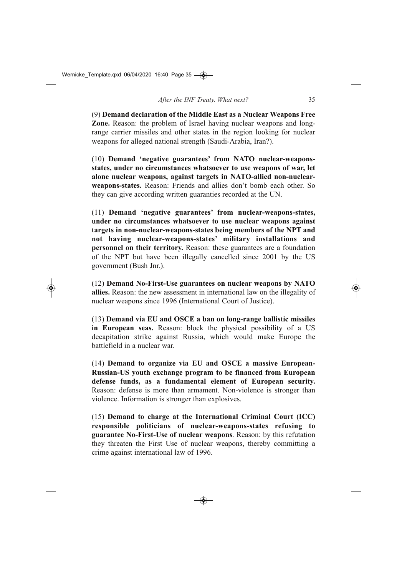(9) **Demand declaration of the Middle East as a Nuclear Weapons Free Zone.** Reason: the problem of Israel having nuclear weapons and longrange carrier missiles and other states in the region looking for nuclear weapons for alleged national strength (Saudi-Arabia, Iran?).

(10) **Demand 'negative guarantees' from NATO nuclear-weaponsstates, under no circumstances whatsoever to use weapons of war, let** alone nuclear weapons, against targets in NATO-allied non-nuclear**weaponsstates.** Reason: Friends and allies don't bomb each other. So they can give according written guaranties recorded at the UN.

(11) **Demand 'negative guarantees' from nuclearweaponsstates, under no circumstances whatsoever to use nuclear weapons against** targets in non-nuclear-weapons-states being members of the NPT and not having nuclear-weapons-states' military installations and **personnel on their territory.** Reason: these guarantees are a foundation of the NPT but have been illegally cancelled since 2001 by the US government (Bush Jnr.).

(12) **Demand No-First-Use guarantees on nuclear weapons by NATO allies.** Reason: the new assessment in international law on the illegality of nuclear weapons since 1996 (International Court of Justice).

(13) **Demand via EU and OSCE a ban on longrange ballistic missiles in European seas.** Reason: block the physical possibility of a US decapitation strike against Russia, which would make Europe the battlefield in a nuclear war.

(14) **Demand to organize via EU and OSCE a massive European-**Russian-US youth exchange program to be financed from European **defense funds, as a fundamental element of European security.** Reason: defense is more than armament. Non-violence is stronger than violence. Information is stronger than explosives.

(15) **Demand to charge at the International Criminal Court (ICC)** responsible politicians of nuclear-weapons-states refusing to guarantee No-First-Use of nuclear weapons. Reason: by this refutation they threaten the First Use of nuclear weapons, thereby committing a crime against international law of 1996.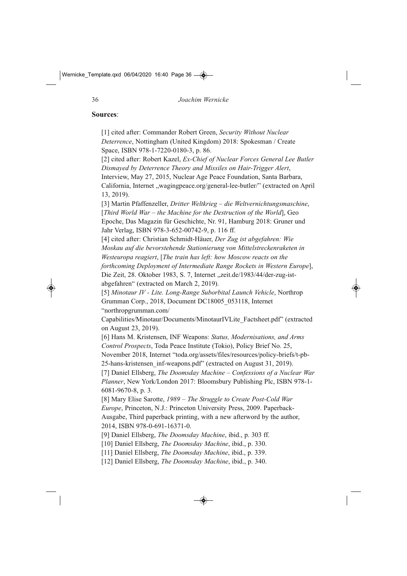#### **Sources**:

[1] cited after: Commander Robert Green, *Security Without Nuclear Deterrence*, Nottingham (United Kingdom) 2018: Spokesman / Create Space, ISBN 978-1-7220-0180-3, p. 86.

[2] cited after: Robert Kazel, *Ex-Chief of Nuclear Forces General Lee Butler* **Dismayed by Deterrence Theory and Missiles on Hair-Trigger Alert,** 

Interview, May 27, 2015, Nuclear Age Peace Foundation, Santa Barbara, California, Internet "wagingpeace.org/general-lee-butler/" (extracted on April 13, 2019).

[3] Martin Pfaffenzeller, *Dritter Weltkrieg – die Weltvernichtungsmaschine*, [*Third World War – the Machine for the Destruction of the World*], Geo Epoche, Das Magazin für Geschichte, Nr. 91, Hamburg 2018: Gruner und Jahr Verlag, ISBN 978-3-652-00742-9, p. 116 ff.

[4] cited after: Christian Schmidt-Häuer, *Der Zug ist abgefahren: Wie Moskau auf die bevorstehende Stationierung von Mittelstreckenraketen in Westeuropa reagiert*, [*The train has left: how Moscow reacts on the forthcoming Deployment of Intermediate Range Rockets in Western Europe*], Die Zeit, 28. Oktober 1983, S. 7, Internet "zeit.de/1983/44/der-zug-istabgefahren" (extracted on March 2, 2019).

[5] *Minotaur IV - Lite. Long-Range Suborbital Launch Vehicle*, Northrop Grumman Corp., 2018, Document DC18005\_053118, Internet "northropgrumman.com/

Capabilities/Minotaur/Documents/MinotaurIVLite\_Factsheet.pdf" (extracted on August 23, 2019).

[6] Hans M. Kristensen, INF Weapons: *Status, Modernisations, and Arms Control Prospects*, Toda Peace Institute (Tokio), Policy Brief No. 25, November 2018, Internet "toda.org/assets/files/resources/policy-briefs/t-pb-25-hans-kristensen\_inf-weapons.pdf" (extracted on August 31, 2019).

[7] Daniel Ellsberg, *The Doomsday Machine – Confessions of a Nuclear War Planner*, New York/London 2017: Bloomsbury Publishing Plc, ISBN 978-1-6081-9670-8, p. 3.

[8] Mary Elise Sarotte, 1989 – The Struggle to Create Post-Cold War *Europe*, Princeton, N.J.: Princeton University Press, 2009. Paperback-Ausgabe, Third paperback printing, with a new afterword by the author, 2014, ISBN 978-0-691-16371-0.

[9] Daniel Ellsberg, *The Doomsday Machine*, ibid., p. 303 ff.

[10] Daniel Ellsberg, *The Doomsday Machine*, ibid., p. 330.

[11] Daniel Ellsberg, *The Doomsday Machine*, ibid., p. 339.

[12] Daniel Ellsberg, *The Doomsday Machine*, ibid., p. 340.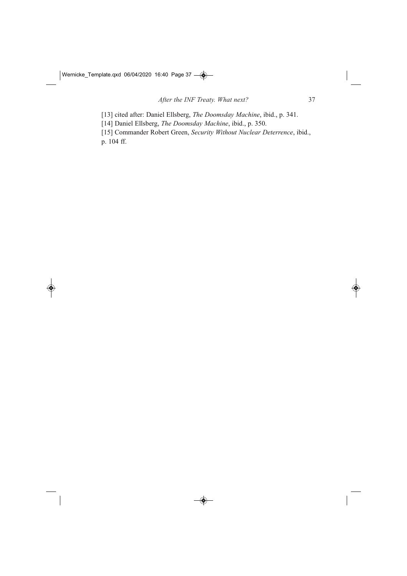[13] cited after: Daniel Ellsberg, *The Doomsday Machine*, ibid., p. 341.

[14] Daniel Ellsberg, *The Doomsday Machine*, ibid., p. 350.

[15] Commander Robert Green, *Security Without Nuclear Deterrence*, ibid., p. 104 ff.